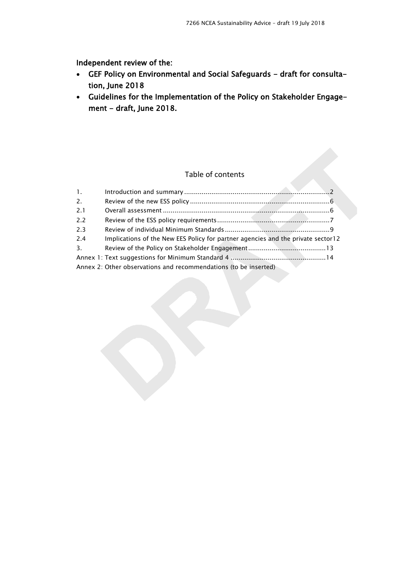Independent review of the:

- GEF Policy on Environmental and Social Safeguards draft for consultation, June 2018
- Guidelines for the Implementation of the Policy on Stakeholder Engagement - draft, June 2018.

# Table of contents

| 1.  |                                                                                  |  |
|-----|----------------------------------------------------------------------------------|--|
| 2.  |                                                                                  |  |
| 2.1 |                                                                                  |  |
| 2.2 |                                                                                  |  |
| 2.3 |                                                                                  |  |
| 2.4 | Implications of the New EES Policy for partner agencies and the private sector12 |  |
| 3.  |                                                                                  |  |
|     |                                                                                  |  |
|     | Annex 2: Other observations and recommendations (to be inserted)                 |  |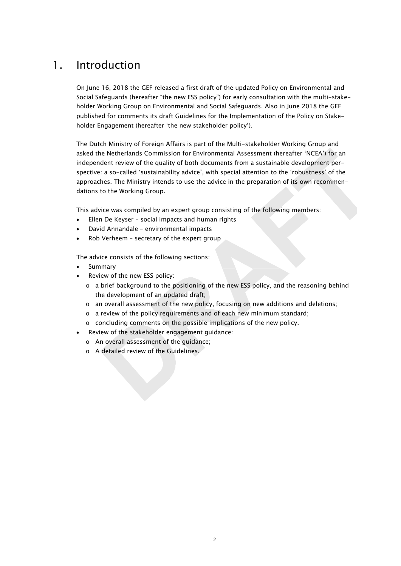# <span id="page-1-0"></span>1. Introduction

On June 16, 2018 the GEF released a first draft of the updated Policy on Environmental and Social Safeguards (hereafter "the new ESS policy") for early consultation with the multi-stakeholder Working Group on Environmental and Social Safeguards. Also in June 2018 the GEF published for comments its draft Guidelines for the Implementation of the Policy on Stakeholder Engagement (hereafter 'the new stakeholder policy').

The Dutch Ministry of Foreign Affairs is part of the Multi-stakeholder Working Group and asked the Netherlands Commission for Environmental Assessment (hereafter 'NCEA') for an independent review of the quality of both documents from a sustainable development perspective: a so-called 'sustainability advice', with special attention to the 'robustness' of the approaches. The Ministry intends to use the advice in the preparation of its own recommendations to the Working Group.

This advice was compiled by an expert group consisting of the following members:

- Ellen De Keyser social impacts and human rights
- David Annandale environmental impacts
- Rob Verheem secretary of the expert group

The advice consists of the following sections:

- **Summary**
- Review of the new ESS policy:
	- o a brief background to the positioning of the new ESS policy, and the reasoning behind the development of an updated draft;
	- o an overall assessment of the new policy, focusing on new additions and deletions;
	- o a review of the policy requirements and of each new minimum standard;
	- o concluding comments on the possible implications of the new policy.
- Review of the stakeholder engagement guidance:
	- o An overall assessment of the guidance;
	- o A detailed review of the Guidelines.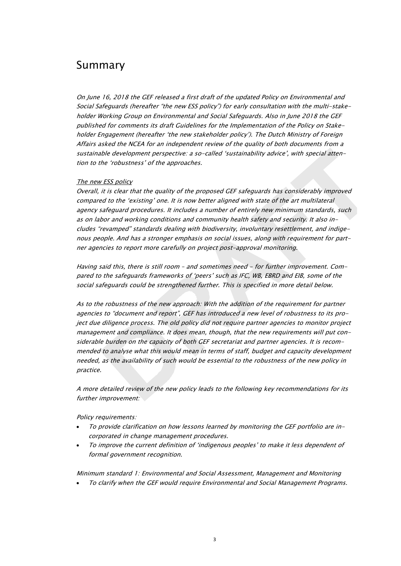# Summary

On June 16, 2018 the GEF released a first draft of the updated Policy on Environmental and Social Safeguards (hereafter "the new ESS policy") for early consultation with the multi-stakeholder Working Group on Environmental and Social Safeguards. Also in June 2018 the GEF published for comments its draft Guidelines for the Implementation of the Policy on Stakeholder Engagement (hereafter 'the new stakeholder policy'). The Dutch Ministry of Foreign Affairs asked the NCEA for an independent review of the quality of both documents from a sustainable development perspective: a so-called 'sustainability advice', with special attention to the 'robustness' of the approaches.

#### The new ESS policy

Overall, it is clear that the quality of the proposed GEF safeguards has considerably improved compared to the 'existing' one. It is now better aligned with state of the art multilateral agency safeguard procedures. It includes a number of entirely new minimum standards, such as on labor and working conditions and community health safety and security. It also includes "revamped" standards dealing with biodiversity, involuntary resettlement, and indigenous people. And has a stronger emphasis on social issues, along with requirement for partner agencies to report more carefully on project post-approval monitoring.

Having said this, there is still room – and sometimes need - for further improvement. Compared to the safeguards frameworks of 'peers' such as IFC, WB, EBRD and EIB, some of the social safeguards could be strengthened further. This is specified in more detail below.

As to the robustness of the new approach: With the addition of the requirement for partner agencies to "document and report", GEF has introduced a new level of robustness to its project due diligence process. The old policy did not require partner agencies to monitor project management and compliance. It does mean, though, that the new requirements will put considerable burden on the capacity of both GEF secretariat and partner agencies. It is recommended to analyse what this would mean in terms of staff, budget and capacity development needed, as the availability of such would be essential to the robustness of the new policy in practice.

A more detailed review of the new policy leads to the following key recommendations for its further improvement:

Policy requirements:

- To provide clarification on how lessons learned by monitoring the GEF portfolio are incorporated in change management procedures.
- To improve the current definition of 'indigenous peoples' to make it less dependent of formal government recognition.

Minimum standard 1: Environmental and Social Assessment, Management and Monitoring • To clarify when the GEF would require Environmental and Social Management Programs.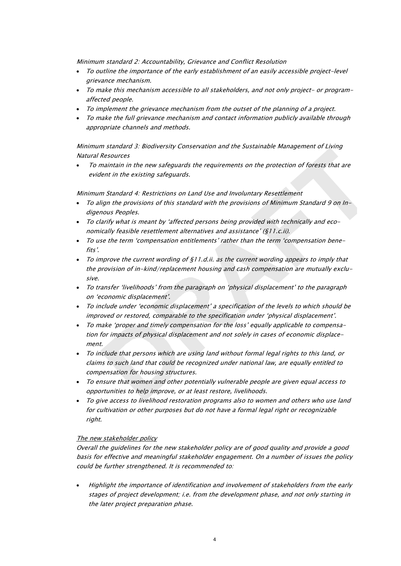Minimum standard 2: Accountability, Grievance and Conflict Resolution

- To outline the importance of the early establishment of an easily accessible project-level grievance mechanism.
- To make this mechanism accessible to all stakeholders, and not only project- or programaffected people.
- To implement the grievance mechanism from the outset of the planning of a project.
- To make the full grievance mechanism and contact information publicly available through appropriate channels and methods.

Minimum standard 3: Biodiversity Conservation and the Sustainable Management of Living Natural Resources

• To maintain in the new safeguards the requirements on the protection of forests that are evident in the existing safeguards.

Minimum Standard 4: Restrictions on Land Use and Involuntary Resettlement

- To align the provisions of this standard with the provisions of Minimum Standard 9 on Indigenous Peoples.
- To clarify what is meant by 'affected persons being provided with technically and economically feasible resettlement alternatives and assistance' (§11.c.ii).
- To use the term 'compensation entitlements' rather than the term 'compensation benefits'.
- To improve the current wording of  $\S$ 11.d.ii. as the current wording appears to imply that the provision of in-kind/replacement housing and cash compensation are mutually exclusive.
- To transfer 'livelihoods' from the paragraph on 'physical displacement' to the paragraph on 'economic displacement'.
- To include under 'economic displacement' a specification of the levels to which should be improved or restored, comparable to the specification under 'physical displacement'.
- To make 'proper and timely compensation for the loss' equally applicable to compensation for impacts of physical displacement and not solely in cases of economic displacement.
- To include that persons which are using land without formal legal rights to this land, or claims to such land that could be recognized under national law, are equally entitled to compensation for housing structures.
- To ensure that women and other potentially vulnerable people are given equal access to opportunities to help improve, or at least restore, livelihoods.
- To give access to livelihood restoration programs also to women and others who use land for cultivation or other purposes but do not have a formal legal right or recognizable right.

### The new stakeholder policy

Overall the guidelines for the new stakeholder policy are of good quality and provide a good basis for effective and meaningful stakeholder engagement. On a number of issues the policy could be further strengthened. It is recommended to:

• Highlight the importance of identification and involvement of stakeholders from the early stages of project development; i.e. from the development phase, and not only starting in the later project preparation phase.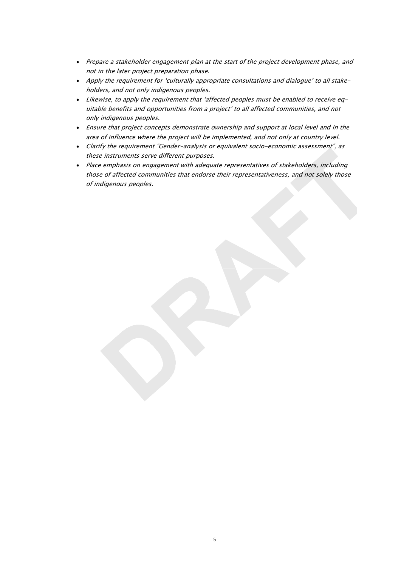- Prepare a stakeholder engagement plan at the start of the project development phase, and not in the later project preparation phase.
- Apply the requirement for 'culturally appropriate consultations and dialogue' to all stakeholders, and not only indigenous peoples.
- Likewise, to apply the requirement that 'affected peoples must be enabled to receive equitable benefits and opportunities from a project' to all affected communities, and not only indigenous peoples.
- Ensure that project concepts demonstrate ownership and support at local level and in the area of influence where the project will be implemented, and not only at country level.
- Clarify the requirement "Gender-analysis or equivalent socio-economic assessment", as these instruments serve different purposes.
- Place emphasis on engagement with adequate representatives of stakeholders, including those of affected communities that endorse their representativeness, and not solely those of indigenous peoples.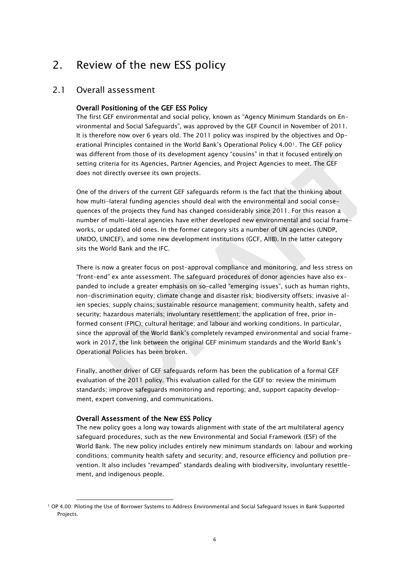# <span id="page-5-0"></span>2. Review of the new ESS policy

# <span id="page-5-1"></span>2.1 Overall assessment

## Overall Positioning of the GEF ESS Policy

The first GEF environmental and social policy, known as "Agency Minimum Standards on Environmental and Social Safeguards", was approved by the GEF Council in November of 2011. It is therefore now over 6 years old. The 2011 policy was inspired by the objectives and Operational Principles contained in the World Bank's Operational Policy 4.00[1](#page-5-2). The GEF policy was different from those of its development agency "cousins" in that it focused entirely on setting criteria for its Agencies, Partner Agencies, and Project Agencies to meet. The GEF does not directly oversee its own projects.

One of the drivers of the current GEF safeguards reform is the fact that the thinking about how multi-lateral funding agencies should deal with the environmental and social consequences of the projects they fund has changed considerably since 2011. For this reason a number of multi-lateral agencies have either developed new environmental and social frameworks, or updated old ones. In the former category sits a number of UN agencies (UNDP, UNIDO, UNICEF), and some new development institutions (GCF, AIIB). In the latter category sits the World Bank and the IFC.

There is now a greater focus on post-approval compliance and monitoring, and less stress on "front-end" ex ante assessment. The safeguard procedures of donor agencies have also expanded to include a greater emphasis on so-called "emerging issues", such as human rights, non-discrimination equity; climate change and disaster risk; biodiversity offsets; invasive alien species; supply chains; sustainable resource management; community health, safety and security; hazardous materials; involuntary resettlement; the application of free, prior informed consent (FPIC); cultural heritage; and labour and working conditions. In particular, since the approval of the World Bank's completely revamped environmental and social framework in 2017, the link between the original GEF minimum standards and the World Bank's Operational Policies has been broken.

Finally, another driver of GEF safeguards reform has been the publication of a formal GEF evaluation of the 2011 policy. This evaluation called for the GEF to: review the minimum standards; improve safeguards monitoring and reporting; and, support capacity development, expert convening, and communications.

### Overall Assessment of the New ESS Policy

j

The new policy goes a long way towards alignment with state of the art multilateral agency safeguard procedures, such as the new Environmental and Social Framework (ESF) of the World Bank. The new policy includes entirely new minimum standards on: labour and working conditions; community health safety and security; and, resource efficiency and pollution prevention. It also includes "revamped" standards dealing with biodiversity, involuntary resettlement, and indigenous people.

<span id="page-5-2"></span><sup>1</sup> OP 4.00: Piloting the Use of Borrower Systems to Address Environmental and Social Safeguard Issues in Bank Supported Projects.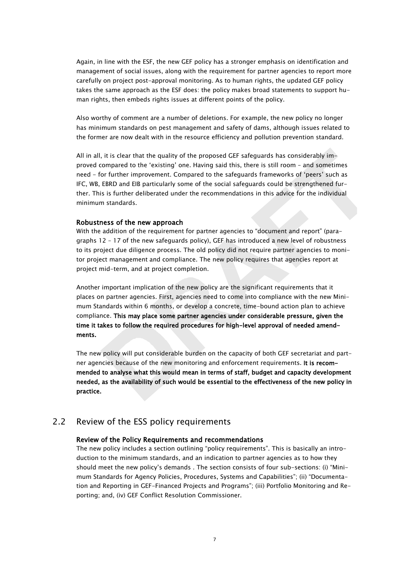Again, in line with the ESF, the new GEF policy has a stronger emphasis on identification and management of social issues, along with the requirement for partner agencies to report more carefully on project post-approval monitoring. As to human rights, the updated GEF policy takes the same approach as the ESF does: the policy makes broad statements to support human rights, then embeds rights issues at different points of the policy.

Also worthy of comment are a number of deletions. For example, the new policy no longer has minimum standards on pest management and safety of dams, although issues related to the former are now dealt with in the resource efficiency and pollution prevention standard.

All in all, it is clear that the quality of the proposed GEF safeguards has considerably improved compared to the 'existing' one. Having said this, there is still room – and sometimes need - for further improvement. Compared to the safeguards frameworks of 'peers' such as IFC, WB, EBRD and EIB particularly some of the social safeguards could be strengthened further. This is further deliberated under the recommendations in this advice for the individual minimum standards.

#### Robustness of the new approach

With the addition of the requirement for partner agencies to "document and report" (paragraphs 12 – 17 of the new safeguards policy), GEF has introduced a new level of robustness to its project due diligence process. The old policy did not require partner agencies to monitor project management and compliance. The new policy requires that agencies report at project mid-term, and at project completion.

Another important implication of the new policy are the significant requirements that it places on partner agencies. First, agencies need to come into compliance with the new Minimum Standards within 6 months, or develop a concrete, time-bound action plan to achieve compliance. This may place some partner agencies under considerable pressure, given the time it takes to follow the required procedures for high-level approval of needed amendments.

The new policy will put considerable burden on the capacity of both GEF secretariat and partner agencies because of the new monitoring and enforcement requirements. It is recommended to analyse what this would mean in terms of staff, budget and capacity development needed, as the availability of such would be essential to the effectiveness of the new policy in practice.

# <span id="page-6-0"></span>2.2 Review of the ESS policy requirements

#### Review of the Policy Requirements and recommendations

The new policy includes a section outlining "policy requirements". This is basically an introduction to the minimum standards, and an indication to partner agencies as to how they should meet the new policy's demands . The section consists of four sub-sections: (i) "Minimum Standards for Agency Policies, Procedures, Systems and Capabilities"; (ii) "Documentation and Reporting in GEF-Financed Projects and Programs"; (iii) Portfolio Monitoring and Reporting; and, (iv) GEF Conflict Resolution Commissioner.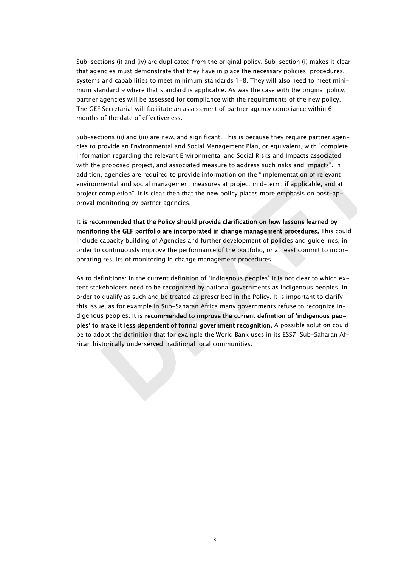Sub-sections (i) and (iv) are duplicated from the original policy. Sub-section (i) makes it clear that agencies must demonstrate that they have in place the necessary policies, procedures, systems and capabilities to meet minimum standards 1-8. They will also need to meet minimum standard 9 where that standard is applicable. As was the case with the original policy, partner agencies will be assessed for compliance with the requirements of the new policy. The GEF Secretariat will facilitate an assessment of partner agency compliance within 6 months of the date of effectiveness.

Sub-sections (ii) and (iii) are new, and significant. This is because they require partner agencies to provide an Environmental and Social Management Plan, or equivalent, with "complete information regarding the relevant Environmental and Social Risks and Impacts associated with the proposed project, and associated measure to address such risks and impacts". In addition, agencies are required to provide information on the "implementation of relevant environmental and social management measures at project mid-term, if applicable, and at project completion". It is clear then that the new policy places more emphasis on post-approval monitoring by partner agencies.

It is recommended that the Policy should provide clarification on how lessons learned by monitoring the GEF portfolio are incorporated in change management procedures. This could include capacity building of Agencies and further development of policies and guidelines, in order to continuously improve the performance of the portfolio, or at least commit to incorporating results of monitoring in change management procedures.

As to definitions: in the current definition of 'indigenous peoples' it is not clear to which extent stakeholders need to be recognized by national governments as indigenous peoples, in order to qualify as such and be treated as prescribed in the Policy. It is important to clarify this issue, as for example in Sub-Saharan Africa many governments refuse to recognize indigenous peoples. It is recommended to improve the current definition of 'indigenous peoples' to make it less dependent of formal government recognition. A possible solution could be to adopt the definition that for example the World Bank uses in its ESS7: Sub-Saharan African historically underserved traditional local communities.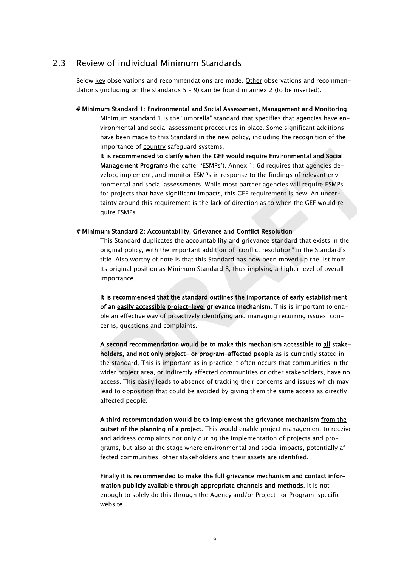# 2.3 Review of individual Minimum Standards

<span id="page-8-0"></span>Below key observations and recommendations are made. Other observations and recommendations (including on the standards  $5 - 9$ ) can be found in annex 2 (to be inserted).

# Minimum Standard 1: Environmental and Social Assessment, Management and Monitoring Minimum standard 1 is the "umbrella" standard that specifies that agencies have environmental and social assessment procedures in place. Some significant additions have been made to this Standard in the new policy, including the recognition of the importance of country safeguard systems.

It is recommended to clarify when the GEF would require Environmental and Social Management Programs (hereafter 'ESMPs'). Annex 1: 6d requires that agencies develop, implement, and monitor ESMPs in response to the findings of relevant environmental and social assessments. While most partner agencies will require ESMPs for projects that have significant impacts, this GEF requirement is new. An uncertainty around this requirement is the lack of direction as to when the GEF would require ESMPs.

#### # Minimum Standard 2: Accountability, Grievance and Conflict Resolution

This Standard duplicates the accountability and grievance standard that exists in the original policy, with the important addition of "conflict resolution" in the Standard's title. Also worthy of note is that this Standard has now been moved up the list from its original position as Minimum Standard 8, thus implying a higher level of overall importance.

It is recommended that the standard outlines the importance of early establishment of an easily accessible project-level grievance mechanism. This is important to enable an effective way of proactively identifying and managing recurring issues, concerns, questions and complaints.

A second recommendation would be to make this mechanism accessible to all stakeholders, and not only project- or program-affected people as is currently stated in the standard. This is important as in practice it often occurs that communities in the wider project area, or indirectly affected communities or other stakeholders, have no access. This easily leads to absence of tracking their concerns and issues which may lead to opposition that could be avoided by giving them the same access as directly affected people.

A third recommendation would be to implement the grievance mechanism from the outset of the planning of a project. This would enable project management to receive and address complaints not only during the implementation of projects and programs, but also at the stage where environmental and social impacts, potentially affected communities, other stakeholders and their assets are identified.

Finally it is recommended to make the full grievance mechanism and contact information publicly available through appropriate channels and methods. It is not enough to solely do this through the Agency and/or Project- or Program-specific website.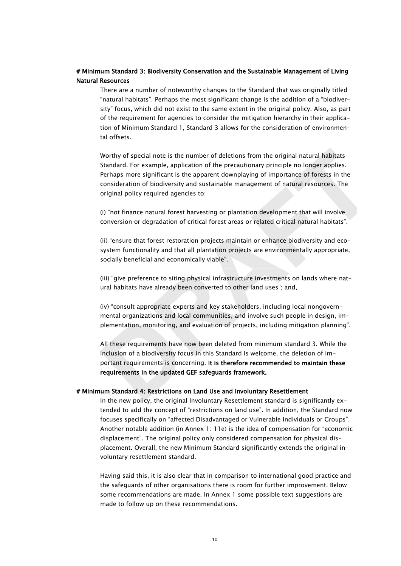## # Minimum Standard 3: Biodiversity Conservation and the Sustainable Management of Living Natural Resources

There are a number of noteworthy changes to the Standard that was originally titled "natural habitats". Perhaps the most significant change is the addition of a "biodiversity" focus, which did not exist to the same extent in the original policy. Also, as part of the requirement for agencies to consider the mitigation hierarchy in their application of Minimum Standard 1, Standard 3 allows for the consideration of environmental offsets.

Worthy of special note is the number of deletions from the original natural habitats Standard. For example, application of the precautionary principle no longer applies. Perhaps more significant is the apparent downplaying of importance of forests in the consideration of biodiversity and sustainable management of natural resources. The original policy required agencies to:

(i) "not finance natural forest harvesting or plantation development that will involve conversion or degradation of critical forest areas or related critical natural habitats".

(ii) "ensure that forest restoration projects maintain or enhance biodiversity and ecosystem functionality and that all plantation projects are environmentally appropriate, socially beneficial and economically viable".

(iii) "give preference to siting physical infrastructure investments on lands where natural habitats have already been converted to other land uses"; and,

(iv) "consult appropriate experts and key stakeholders, including local nongovernmental organizations and local communities, and involve such people in design, implementation, monitoring, and evaluation of projects, including mitigation planning".

All these requirements have now been deleted from minimum standard 3. While the inclusion of a biodiversity focus in this Standard is welcome, the deletion of important requirements is concerning. It is therefore recommended to maintain these requirements in the updated GEF safeguards framework.

#### # Minimum Standard 4: Restrictions on Land Use and Involuntary Resettlement

In the new policy, the original Involuntary Resettlement standard is significantly extended to add the concept of "restrictions on land use". In addition, the Standard now focuses specifically on "affected Disadvantaged or Vulnerable Individuals or Groups". Another notable addition (in Annex 1: 11e) is the idea of compensation for "economic displacement". The original policy only considered compensation for physical displacement. Overall, the new Minimum Standard significantly extends the original involuntary resettlement standard.

Having said this, it is also clear that in comparison to international good practice and the safeguards of other organisations there is room for further improvement. Below some recommendations are made. In Annex 1 some possible text suggestions are made to follow up on these recommendations.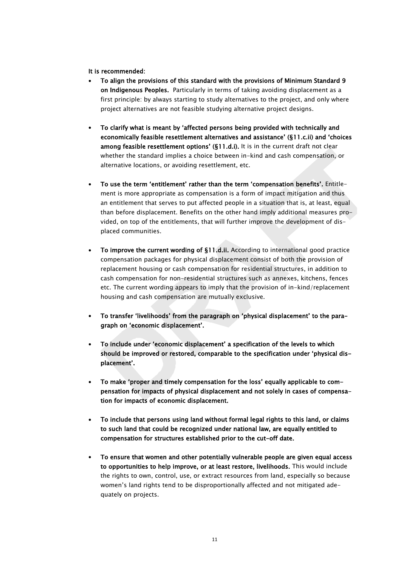#### It is recommended:

- To align the provisions of this standard with the provisions of Minimum Standard 9 on Indigenous Peoples. Particularly in terms of taking avoiding displacement as a first principle: by always starting to study alternatives to the project, and only where project alternatives are not feasible studying alternative project designs.
- To clarify what is meant by 'affected persons being provided with technically and economically feasible resettlement alternatives and assistance' (§11.c.ii) and 'choices among feasible resettlement options' (§11.d.i). It is in the current draft not clear whether the standard implies a choice between in-kind and cash compensation, or alternative locations, or avoiding resettlement, etc.
- To use the term 'entitlement' rather than the term 'compensation benefits'. Entitlement is more appropriate as compensation is a form of impact mitigation and thus an entitlement that serves to put affected people in a situation that is, at least, equal than before displacement. Benefits on the other hand imply additional measures provided, on top of the entitlements, that will further improve the development of displaced communities.
- To improve the current wording of §11.d.ii. According to international good practice compensation packages for physical displacement consist of both the provision of replacement housing or cash compensation for residential structures, in addition to cash compensation for non-residential structures such as annexes, kitchens, fences etc. The current wording appears to imply that the provision of in-kind/replacement housing and cash compensation are mutually exclusive.
- To transfer 'livelihoods' from the paragraph on 'physical displacement' to the paragraph on 'economic displacement'.
- To include under 'economic displacement' a specification of the levels to which should be improved or restored, comparable to the specification under 'physical displacement'.
- To make 'proper and timely compensation for the loss' equally applicable to compensation for impacts of physical displacement and not solely in cases of compensation for impacts of economic displacement.
- To include that persons using land without formal legal rights to this land, or claims to such land that could be recognized under national law, are equally entitled to compensation for structures established prior to the cut-off date.
- To ensure that women and other potentially vulnerable people are given equal access to opportunities to help improve, or at least restore, livelihoods. This would include the rights to own, control, use, or extract resources from land, especially so because women's land rights tend to be disproportionally affected and not mitigated adequately on projects.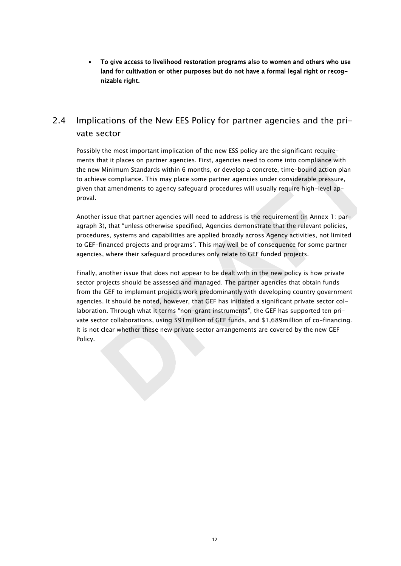• To give access to livelihood restoration programs also to women and others who use land for cultivation or other purposes but do not have a formal legal right or recognizable right.

# <span id="page-11-0"></span>2.4 Implications of the New EES Policy for partner agencies and the private sector

Possibly the most important implication of the new ESS policy are the significant requirements that it places on partner agencies. First, agencies need to come into compliance with the new Minimum Standards within 6 months, or develop a concrete, time-bound action plan to achieve compliance. This may place some partner agencies under considerable pressure, given that amendments to agency safeguard procedures will usually require high-level approval.

Another issue that partner agencies will need to address is the requirement (in Annex 1: paragraph 3), that "unless otherwise specified, Agencies demonstrate that the relevant policies, procedures, systems and capabilities are applied broadly across Agency activities, not limited to GEF-financed projects and programs". This may well be of consequence for some partner agencies, where their safeguard procedures only relate to GEF funded projects.

Finally, another issue that does not appear to be dealt with in the new policy is how private sector projects should be assessed and managed. The partner agencies that obtain funds from the GEF to implement projects work predominantly with developing country government agencies. It should be noted, however, that GEF has initiated a significant private sector collaboration. Through what it terms "non-grant instruments", the GEF has supported ten private sector collaborations, using \$91million of GEF funds, and \$1,689million of co-financing. It is not clear whether these new private sector arrangements are covered by the new GEF Policy.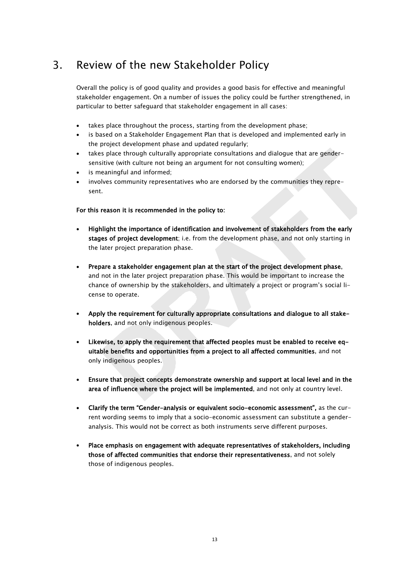# <span id="page-12-0"></span>3. Review of the new Stakeholder Policy

Overall the policy is of good quality and provides a good basis for effective and meaningful stakeholder engagement. On a number of issues the policy could be further strengthened, in particular to better safeguard that stakeholder engagement in all cases:

- takes place throughout the process, starting from the development phase;
- is based on a Stakeholder Engagement Plan that is developed and implemented early in the project development phase and updated regularly;
- takes place through culturally appropriate consultations and dialogue that are gendersensitive (with culture not being an argument for not consulting women);
- is meaningful and informed:
- involves community representatives who are endorsed by the communities they represent.

## For this reason it is recommended in the policy to:

- Highlight the importance of identification and involvement of stakeholders from the early stages of project development; i.e. from the development phase, and not only starting in the later project preparation phase.
- Prepare a stakeholder engagement plan at the start of the project development phase, and not in the later project preparation phase. This would be important to increase the chance of ownership by the stakeholders, and ultimately a project or program's social license to operate.
- Apply the requirement for culturally appropriate consultations and dialogue to all stakeholders, and not only indigenous peoples.
- Likewise, to apply the requirement that affected peoples must be enabled to receive equitable benefits and opportunities from a project to all affected communities, and not only indigenous peoples.
- Ensure that project concepts demonstrate ownership and support at local level and in the area of influence where the project will be implemented, and not only at country level.
- Clarify the term "Gender-analysis or equivalent socio-economic assessment", as the current wording seems to imply that a socio-economic assessment can substitute a genderanalysis. This would not be correct as both instruments serve different purposes.
- Place emphasis on engagement with adequate representatives of stakeholders, including those of affected communities that endorse their representativeness, and not solely those of indigenous peoples.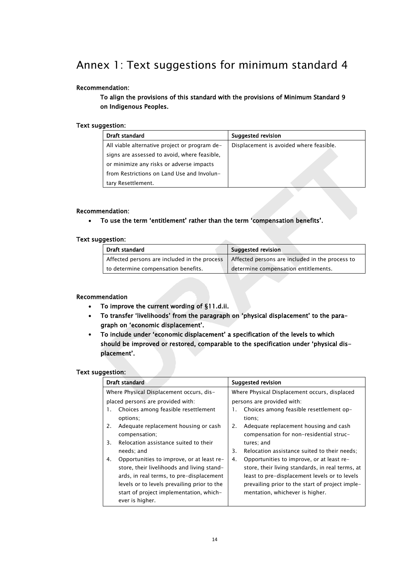# <span id="page-13-0"></span>Annex 1: Text suggestions for minimum standard 4

## Recommendation:

To align the provisions of this standard with the provisions of Minimum Standard 9 on Indigenous Peoples.

### Text suggestion:

| Draft standard                                | Suggested revision                      |  |
|-----------------------------------------------|-----------------------------------------|--|
| All viable alternative project or program de- | Displacement is avoided where feasible. |  |
| signs are assessed to avoid, where feasible,  |                                         |  |
| or minimize any risks or adverse impacts      |                                         |  |
| from Restrictions on Land Use and Involun-    |                                         |  |
| tary Resettlement.                            |                                         |  |

#### Recommendation:

• To use the term 'entitlement' rather than the term 'compensation benefits'.

#### Text suggestion:

| Draft standard                               | Suggested revision                              |  |
|----------------------------------------------|-------------------------------------------------|--|
| Affected persons are included in the process | Affected persons are included in the process to |  |
| to determine compensation benefits.          | determine compensation entitlements.            |  |

### Recommendation

- To improve the current wording of §11.d.ii.
- To transfer 'livelihoods' from the paragraph on 'physical displacement' to the paragraph on 'economic displacement'.
- To include under 'economic displacement' a specification of the levels to which should be improved or restored, comparable to the specification under 'physical displacement'.

### Text suggestion:

| <b>Draft standard</b>                                                                                                                                                                |                                                                                                                                                                                                                                                  |          | <b>Suggested revision</b>                                                                                                                                                                                                            |  |
|--------------------------------------------------------------------------------------------------------------------------------------------------------------------------------------|--------------------------------------------------------------------------------------------------------------------------------------------------------------------------------------------------------------------------------------------------|----------|--------------------------------------------------------------------------------------------------------------------------------------------------------------------------------------------------------------------------------------|--|
| Where Physical Displacement occurs, dis-<br>placed persons are provided with:<br>Choices among feasible resettlement<br>1.<br>options:<br>Adequate replacement housing or cash<br>2. |                                                                                                                                                                                                                                                  | 1.<br>2. | Where Physical Displacement occurs, displaced<br>persons are provided with:<br>Choices among feasible resettlement op-<br>tions:<br>Adequate replacement housing and cash                                                            |  |
| 3.                                                                                                                                                                                   | compensation;<br>Relocation assistance suited to their<br>needs: and                                                                                                                                                                             | 3.       | compensation for non-residential struc-<br>tures; and<br>Relocation assistance suited to their needs:                                                                                                                                |  |
| 4.                                                                                                                                                                                   | Opportunities to improve, or at least re-<br>store, their livelihoods and living stand-<br>ards, in real terms, to pre-displacement<br>levels or to levels prevailing prior to the<br>start of project implementation, which-<br>ever is higher. | 4.       | Opportunities to improve, or at least re-<br>store, their living standards, in real terms, at<br>least to pre-displacement levels or to levels<br>prevailing prior to the start of project imple-<br>mentation, whichever is higher. |  |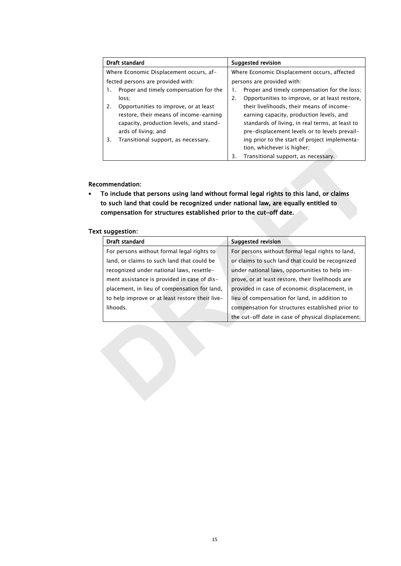| Draft standard                               |    | Suggested revision                              |  |
|----------------------------------------------|----|-------------------------------------------------|--|
| Where Economic Displacement occurs, af-      |    | Where Economic Displacement occurs, affected    |  |
| fected persons are provided with:            |    | persons are provided with:                      |  |
| Proper and timely compensation for the<br>1. |    | Proper and timely compensation for the loss:    |  |
| loss:                                        | 2. | Opportunities to improve, or at least restore,  |  |
| Opportunities to improve, or at least<br>2.  |    | their livelihoods, their means of income-       |  |
| restore, their means of income-earning       |    | earning capacity, production levels, and        |  |
| capacity, production levels, and stand-      |    | standards of living, in real terms, at least to |  |
| ards of living; and                          |    | pre-displacement levels or to levels prevail-   |  |
| Transitional support, as necessary.<br>3.    |    | ing prior to the start of project implementa-   |  |
|                                              |    | tion, whichever is higher;                      |  |
|                                              | 3. | Transitional support, as necessary.             |  |

#### Recommendation:

• To include that persons using land without formal legal rights to this land, or claims to such land that could be recognized under national law, are equally entitled to compensation for structures established prior to the cut-off date.

### Text suggestion:

| Draft standard                                  | <b>Suggested revision</b>                          |  |  |
|-------------------------------------------------|----------------------------------------------------|--|--|
| For persons without formal legal rights to      | For persons without formal legal rights to land,   |  |  |
| land, or claims to such land that could be      | or claims to such land that could be recognized    |  |  |
| recognized under national laws, resettle-       | under national laws, opportunities to help im-     |  |  |
| ment assistance is provided in case of dis-     | prove, or at least restore, their livelihoods are  |  |  |
| placement, in lieu of compensation for land,    | provided in case of economic displacement, in      |  |  |
| to help improve or at least restore their live- | lieu of compensation for land, in addition to      |  |  |
| lihoods.                                        | compensation for structures established prior to   |  |  |
|                                                 | the cut-off date in case of physical displacement; |  |  |